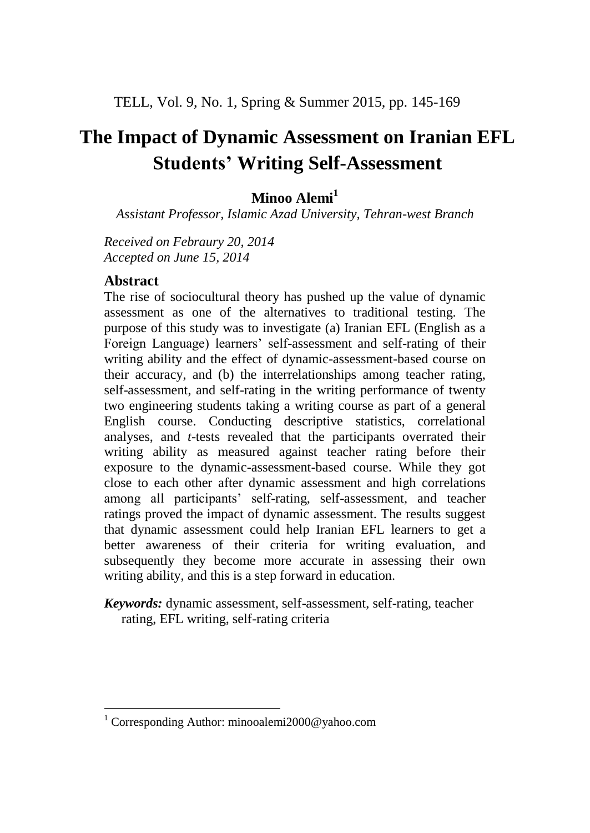# **The Impact of Dynamic Assessment on Iranian EFL Students' Writing Self-Assessment**

# **Minoo Alemi<sup>1</sup>**

*Assistant Professor, Islamic Azad University, Tehran-west Branch*

*Received on Febraury 20, 2014 Accepted on June 15, 2014*

# **Abstract**

The rise of sociocultural theory has pushed up the value of dynamic assessment as one of the alternatives to traditional testing. The purpose of this study was to investigate (a) Iranian EFL (English as a Foreign Language) learners' self-assessment and self-rating of their writing ability and the effect of dynamic-assessment-based course on their accuracy, and (b) the interrelationships among teacher rating, self-assessment, and self-rating in the writing performance of twenty two engineering students taking a writing course as part of a general English course. Conducting descriptive statistics, correlational analyses, and *t*-tests revealed that the participants overrated their writing ability as measured against teacher rating before their exposure to the dynamic-assessment-based course. While they got close to each other after dynamic assessment and high correlations among all participants' self-rating, self-assessment, and teacher ratings proved the impact of dynamic assessment. The results suggest that dynamic assessment could help Iranian EFL learners to get a better awareness of their criteria for writing evaluation, and subsequently they become more accurate in assessing their own writing ability, and this is a step forward in education.

# *Keywords:* dynamic assessment, self-assessment, self-rating, teacher rating, EFL writing, self-rating criteria

 $\overline{a}$ <sup>1</sup> Corresponding Author: minooalemi2000@yahoo.com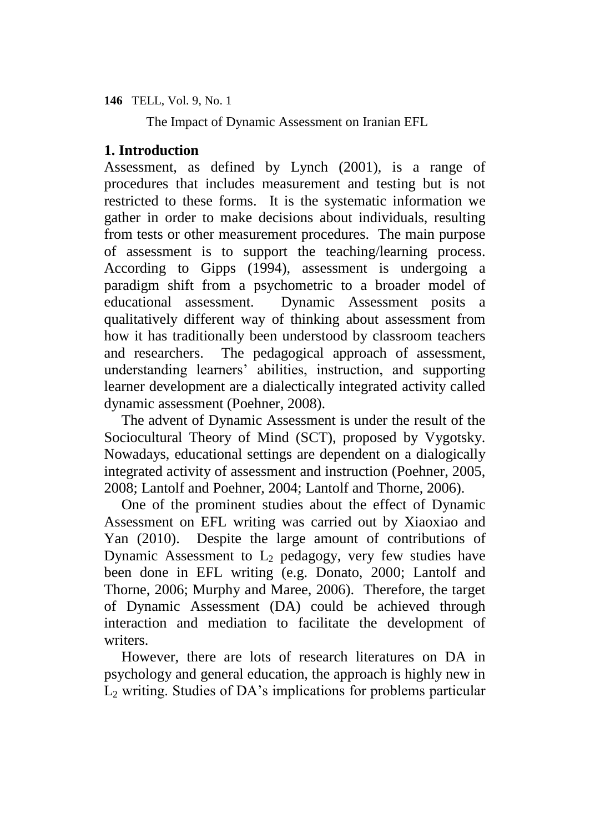The Impact of Dynamic Assessment on Iranian EFL

# **1. Introduction**

Assessment, as defined by Lynch (2001), is a range of procedures that includes measurement and testing but is not restricted to these forms. It is the systematic information we gather in order to make decisions about individuals, resulting from tests or other measurement procedures. The main purpose of assessment is to support the teaching/learning process. According to Gipps (1994), assessment is undergoing a paradigm shift from a psychometric to a broader model of educational assessment. Dynamic Assessment posits a qualitatively different way of thinking about assessment from how it has traditionally been understood by classroom teachers and researchers. The pedagogical approach of assessment, understanding learners' abilities, instruction, and supporting learner development are a dialectically integrated activity called dynamic assessment (Poehner, 2008).

The advent of Dynamic Assessment is under the result of the Sociocultural Theory of Mind (SCT), proposed by Vygotsky. Nowadays, educational settings are dependent on a dialogically integrated activity of assessment and instruction (Poehner, 2005, 2008; Lantolf and Poehner, 2004; Lantolf and Thorne, 2006).

One of the prominent studies about the effect of Dynamic Assessment on EFL writing was carried out by Xiaoxiao and Yan (2010). Despite the large amount of contributions of Dynamic Assessment to  $L_2$  pedagogy, very few studies have been done in EFL writing (e.g. Donato, 2000; Lantolf and Thorne, 2006; Murphy and Maree, 2006). Therefore, the target of Dynamic Assessment (DA) could be achieved through interaction and mediation to facilitate the development of writers.

However, there are lots of research literatures on DA in psychology and general education, the approach is highly new in  $L<sub>2</sub>$  writing. Studies of DA's implications for problems particular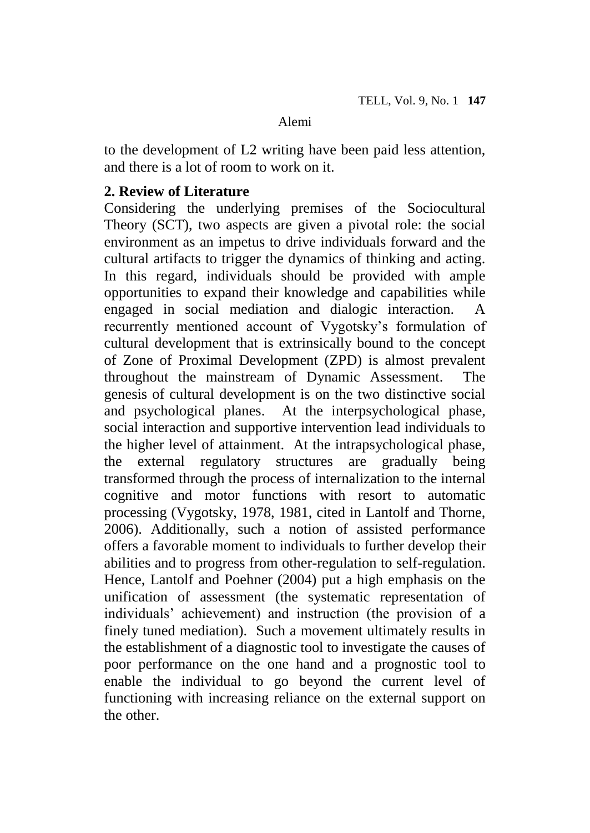to the development of L2 writing have been paid less attention, and there is a lot of room to work on it.

### **2. Review of Literature**

Considering the underlying premises of the Sociocultural Theory (SCT), two aspects are given a pivotal role: the social environment as an impetus to drive individuals forward and the cultural artifacts to trigger the dynamics of thinking and acting. In this regard, individuals should be provided with ample opportunities to expand their knowledge and capabilities while engaged in social mediation and dialogic interaction. A recurrently mentioned account of Vygotsky's formulation of cultural development that is extrinsically bound to the concept of Zone of Proximal Development (ZPD) is almost prevalent throughout the mainstream of Dynamic Assessment. The genesis of cultural development is on the two distinctive social and psychological planes. At the interpsychological phase, social interaction and supportive intervention lead individuals to the higher level of attainment. At the intrapsychological phase, the external regulatory structures are gradually being transformed through the process of internalization to the internal cognitive and motor functions with resort to automatic processing (Vygotsky, 1978, 1981, cited in Lantolf and Thorne, 2006). Additionally, such a notion of assisted performance offers a favorable moment to individuals to further develop their abilities and to progress from other-regulation to self-regulation. Hence, Lantolf and Poehner (2004) put a high emphasis on the unification of assessment (the systematic representation of individuals' achievement) and instruction (the provision of a finely tuned mediation). Such a movement ultimately results in the establishment of a diagnostic tool to investigate the causes of poor performance on the one hand and a prognostic tool to enable the individual to go beyond the current level of functioning with increasing reliance on the external support on the other.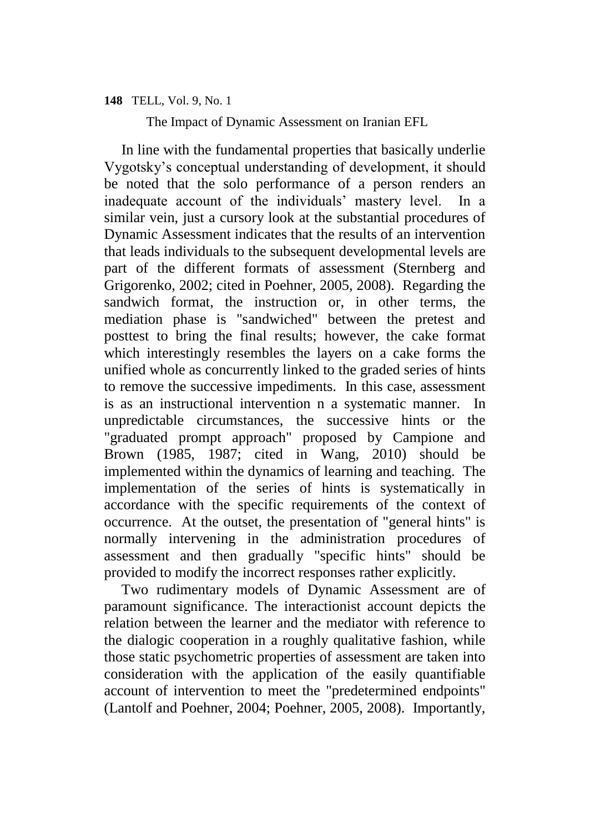The Impact of Dynamic Assessment on Iranian EFL

In line with the fundamental properties that basically underlie Vygotsky's conceptual understanding of development, it should be noted that the solo performance of a person renders an inadequate account of the individuals' mastery level. In a similar vein, just a cursory look at the substantial procedures of Dynamic Assessment indicates that the results of an intervention that leads individuals to the subsequent developmental levels are part of the different formats of assessment (Sternberg and Grigorenko, 2002; cited in Poehner, 2005, 2008). Regarding the sandwich format, the instruction or, in other terms, the mediation phase is "sandwiched" between the pretest and posttest to bring the final results; however, the cake format which interestingly resembles the layers on a cake forms the unified whole as concurrently linked to the graded series of hints to remove the successive impediments. In this case, assessment is as an instructional intervention n a systematic manner. In unpredictable circumstances, the successive hints or the "graduated prompt approach" proposed by Campione and Brown (1985, 1987; cited in Wang, 2010) should be implemented within the dynamics of learning and teaching. The implementation of the series of hints is systematically in accordance with the specific requirements of the context of occurrence. At the outset, the presentation of "general hints" is normally intervening in the administration procedures of assessment and then gradually "specific hints" should be provided to modify the incorrect responses rather explicitly.

Two rudimentary models of Dynamic Assessment are of paramount significance. The interactionist account depicts the relation between the learner and the mediator with reference to the dialogic cooperation in a roughly qualitative fashion, while those static psychometric properties of assessment are taken into consideration with the application of the easily quantifiable account of intervention to meet the "predetermined endpoints" (Lantolf and Poehner, 2004; Poehner, 2005, 2008). Importantly,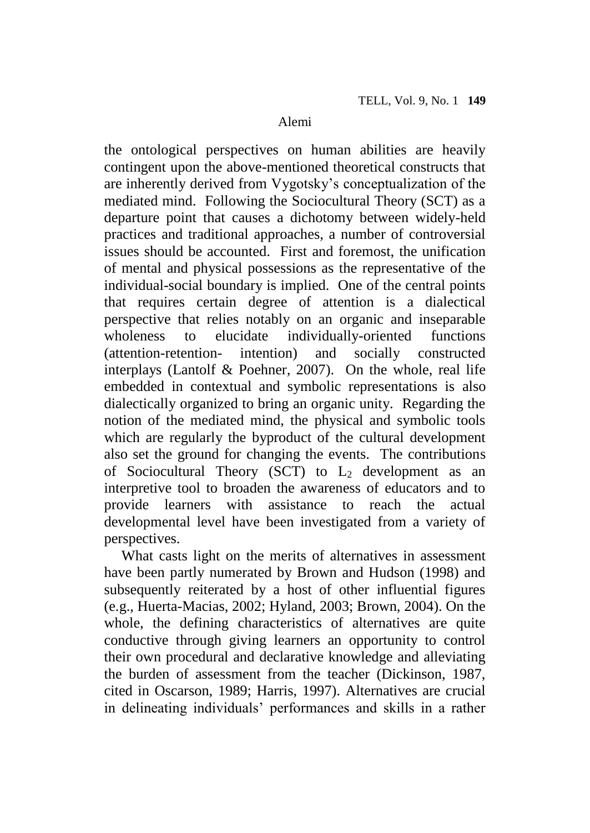the ontological perspectives on human abilities are heavily contingent upon the above-mentioned theoretical constructs that are inherently derived from Vygotsky's conceptualization of the mediated mind. Following the Sociocultural Theory (SCT) as a departure point that causes a dichotomy between widely-held practices and traditional approaches, a number of controversial issues should be accounted. First and foremost, the unification of mental and physical possessions as the representative of the individual-social boundary is implied. One of the central points that requires certain degree of attention is a dialectical perspective that relies notably on an organic and inseparable wholeness to elucidate individually-oriented functions (attention-retention- intention) and socially constructed interplays (Lantolf & Poehner, 2007). On the whole, real life embedded in contextual and symbolic representations is also dialectically organized to bring an organic unity. Regarding the notion of the mediated mind, the physical and symbolic tools which are regularly the byproduct of the cultural development also set the ground for changing the events. The contributions of Sociocultural Theory (SCT) to  $L_2$  development as an interpretive tool to broaden the awareness of educators and to provide learners with assistance to reach the actual developmental level have been investigated from a variety of perspectives.

What casts light on the merits of alternatives in assessment have been partly numerated by Brown and Hudson (1998) and subsequently reiterated by a host of other influential figures (e.g., Huerta-Macias, 2002; Hyland, 2003; Brown, 2004). On the whole, the defining characteristics of alternatives are quite conductive through giving learners an opportunity to control their own procedural and declarative knowledge and alleviating the burden of assessment from the teacher (Dickinson, 1987, cited in Oscarson, 1989; Harris, 1997). Alternatives are crucial in delineating individuals' performances and skills in a rather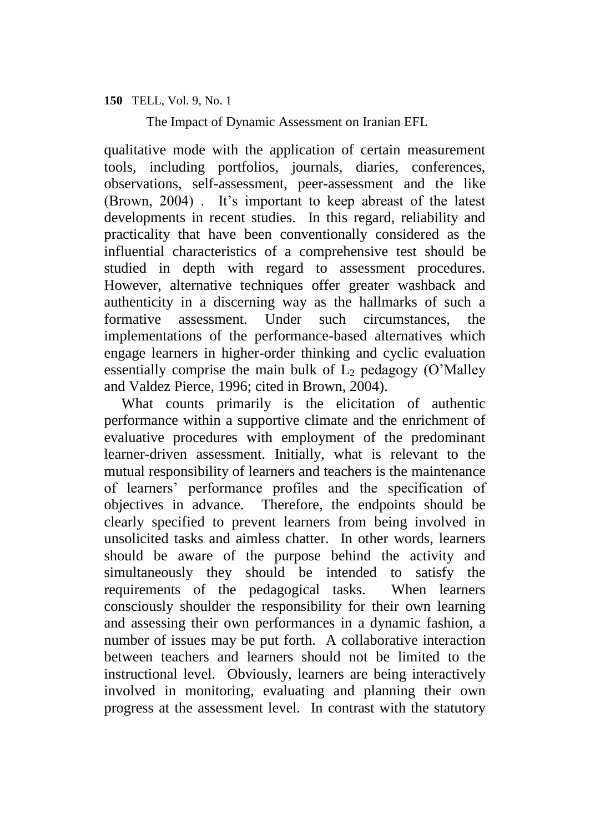The Impact of Dynamic Assessment on Iranian EFL

qualitative mode with the application of certain measurement tools, including portfolios, journals, diaries, conferences, observations, self-assessment, peer-assessment and the like (Brown, 2004) . It's important to keep abreast of the latest developments in recent studies. In this regard, reliability and practicality that have been conventionally considered as the influential characteristics of a comprehensive test should be studied in depth with regard to assessment procedures. However, alternative techniques offer greater washback and authenticity in a discerning way as the hallmarks of such a formative assessment. Under such circumstances, the implementations of the performance-based alternatives which engage learners in higher-order thinking and cyclic evaluation essentially comprise the main bulk of  $L_2$  pedagogy (O'Malley and Valdez Pierce, 1996; cited in Brown, 2004).

What counts primarily is the elicitation of authentic performance within a supportive climate and the enrichment of evaluative procedures with employment of the predominant learner-driven assessment. Initially, what is relevant to the mutual responsibility of learners and teachers is the maintenance of learners' performance profiles and the specification of objectives in advance. Therefore, the endpoints should be clearly specified to prevent learners from being involved in unsolicited tasks and aimless chatter. In other words, learners should be aware of the purpose behind the activity and simultaneously they should be intended to satisfy the requirements of the pedagogical tasks. When learners consciously shoulder the responsibility for their own learning and assessing their own performances in a dynamic fashion, a number of issues may be put forth. A collaborative interaction between teachers and learners should not be limited to the instructional level. Obviously, learners are being interactively involved in monitoring, evaluating and planning their own progress at the assessment level. In contrast with the statutory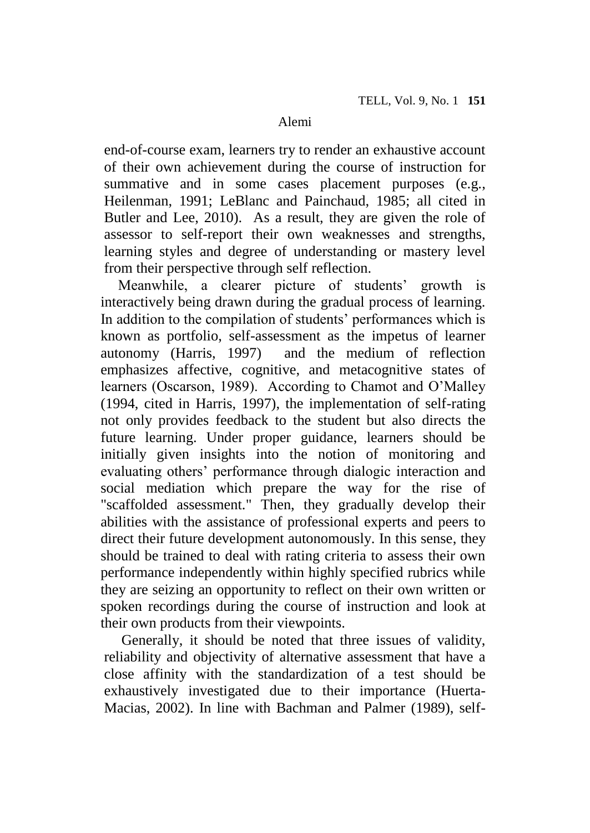end-of-course exam, learners try to render an exhaustive account of their own achievement during the course of instruction for summative and in some cases placement purposes (e.g., Heilenman, 1991; LeBlanc and Painchaud, 1985; all cited in Butler and Lee, 2010). As a result, they are given the role of assessor to self-report their own weaknesses and strengths, learning styles and degree of understanding or mastery level from their perspective through self reflection.

Meanwhile, a clearer picture of students' growth is interactively being drawn during the gradual process of learning. In addition to the compilation of students' performances which is known as portfolio, self-assessment as the impetus of learner autonomy (Harris, 1997) and the medium of reflection emphasizes affective, cognitive, and metacognitive states of learners (Oscarson, 1989). According to Chamot and O'Malley (1994, cited in Harris, 1997), the implementation of self-rating not only provides feedback to the student but also directs the future learning. Under proper guidance, learners should be initially given insights into the notion of monitoring and evaluating others' performance through dialogic interaction and social mediation which prepare the way for the rise of "scaffolded assessment." Then, they gradually develop their abilities with the assistance of professional experts and peers to direct their future development autonomously. In this sense, they should be trained to deal with rating criteria to assess their own performance independently within highly specified rubrics while they are seizing an opportunity to reflect on their own written or spoken recordings during the course of instruction and look at their own products from their viewpoints.

Generally, it should be noted that three issues of validity, reliability and objectivity of alternative assessment that have a close affinity with the standardization of a test should be exhaustively investigated due to their importance (Huerta-Macias, 2002). In line with Bachman and Palmer (1989), self-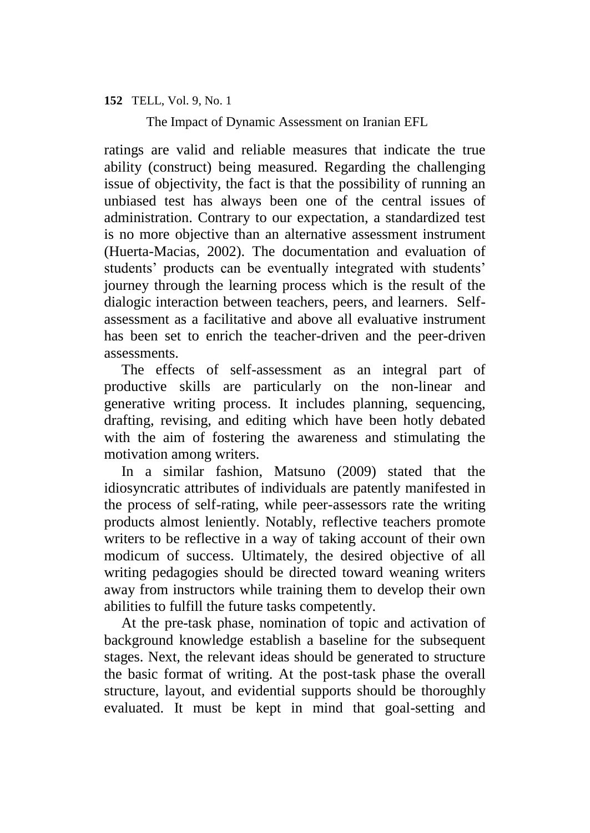The Impact of Dynamic Assessment on Iranian EFL

ratings are valid and reliable measures that indicate the true ability (construct) being measured. Regarding the challenging issue of objectivity, the fact is that the possibility of running an unbiased test has always been one of the central issues of administration. Contrary to our expectation, a standardized test is no more objective than an alternative assessment instrument (Huerta-Macias, 2002). The documentation and evaluation of students' products can be eventually integrated with students' journey through the learning process which is the result of the dialogic interaction between teachers, peers, and learners. Selfassessment as a facilitative and above all evaluative instrument has been set to enrich the teacher-driven and the peer-driven assessments.

The effects of self-assessment as an integral part of productive skills are particularly on the non-linear and generative writing process. It includes planning, sequencing, drafting, revising, and editing which have been hotly debated with the aim of fostering the awareness and stimulating the motivation among writers.

In a similar fashion, Matsuno (2009) stated that the idiosyncratic attributes of individuals are patently manifested in the process of self-rating, while peer-assessors rate the writing products almost leniently. Notably, reflective teachers promote writers to be reflective in a way of taking account of their own modicum of success. Ultimately, the desired objective of all writing pedagogies should be directed toward weaning writers away from instructors while training them to develop their own abilities to fulfill the future tasks competently.

At the pre-task phase, nomination of topic and activation of background knowledge establish a baseline for the subsequent stages. Next, the relevant ideas should be generated to structure the basic format of writing. At the post-task phase the overall structure, layout, and evidential supports should be thoroughly evaluated. It must be kept in mind that goal-setting and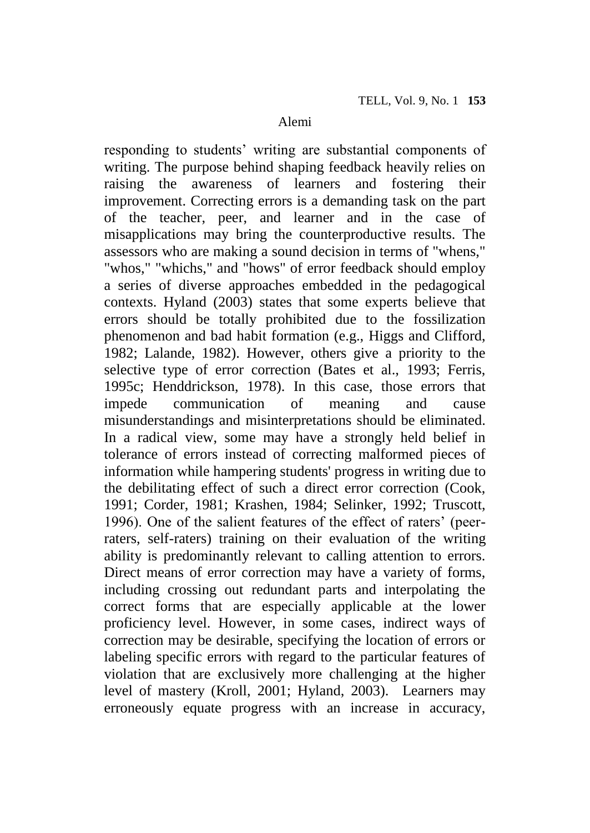responding to students' writing are substantial components of writing. The purpose behind shaping feedback heavily relies on raising the awareness of learners and fostering their improvement. Correcting errors is a demanding task on the part of the teacher, peer, and learner and in the case of misapplications may bring the counterproductive results. The assessors who are making a sound decision in terms of "whens," "whos," "whichs," and "hows" of error feedback should employ a series of diverse approaches embedded in the pedagogical contexts. Hyland (2003) states that some experts believe that errors should be totally prohibited due to the fossilization phenomenon and bad habit formation (e.g., Higgs and Clifford, 1982; Lalande, 1982). However, others give a priority to the selective type of error correction (Bates et al., 1993; Ferris, 1995c; Henddrickson, 1978). In this case, those errors that impede communication of meaning and cause misunderstandings and misinterpretations should be eliminated. In a radical view, some may have a strongly held belief in tolerance of errors instead of correcting malformed pieces of information while hampering students' progress in writing due to the debilitating effect of such a direct error correction (Cook, 1991; Corder, 1981; Krashen, 1984; Selinker, 1992; Truscott, 1996). One of the salient features of the effect of raters' (peerraters, self-raters) training on their evaluation of the writing ability is predominantly relevant to calling attention to errors. Direct means of error correction may have a variety of forms, including crossing out redundant parts and interpolating the correct forms that are especially applicable at the lower proficiency level. However, in some cases, indirect ways of correction may be desirable, specifying the location of errors or labeling specific errors with regard to the particular features of violation that are exclusively more challenging at the higher level of mastery (Kroll, 2001; Hyland, 2003). Learners may erroneously equate progress with an increase in accuracy,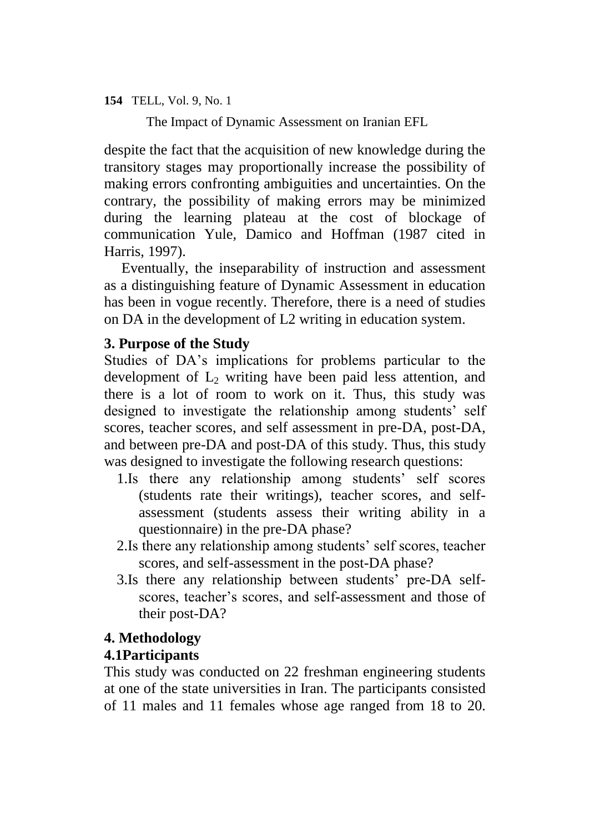The Impact of Dynamic Assessment on Iranian EFL

despite the fact that the acquisition of new knowledge during the transitory stages may proportionally increase the possibility of making errors confronting ambiguities and uncertainties. On the contrary, the possibility of making errors may be minimized during the learning plateau at the cost of blockage of communication Yule, Damico and Hoffman (1987 cited in Harris, 1997).

Eventually, the inseparability of instruction and assessment as a distinguishing feature of Dynamic Assessment in education has been in vogue recently. Therefore, there is a need of studies on DA in the development of L2 writing in education system.

# **3. Purpose of the Study**

Studies of DA's implications for problems particular to the development of  $L_2$  writing have been paid less attention, and there is a lot of room to work on it. Thus, this study was designed to investigate the relationship among students' self scores, teacher scores, and self assessment in pre-DA, post-DA, and between pre-DA and post-DA of this study. Thus, this study was designed to investigate the following research questions:

- 1.Is there any relationship among students' self scores (students rate their writings), teacher scores, and selfassessment (students assess their writing ability in a questionnaire) in the pre-DA phase?
- 2.Is there any relationship among students' self scores, teacher scores, and self-assessment in the post-DA phase?
- 3.Is there any relationship between students' pre-DA selfscores, teacher's scores, and self-assessment and those of their post-DA?

# **4. Methodology**

# **4.1Participants**

This study was conducted on 22 freshman engineering students at one of the state universities in Iran. The participants consisted of 11 males and 11 females whose age ranged from 18 to 20.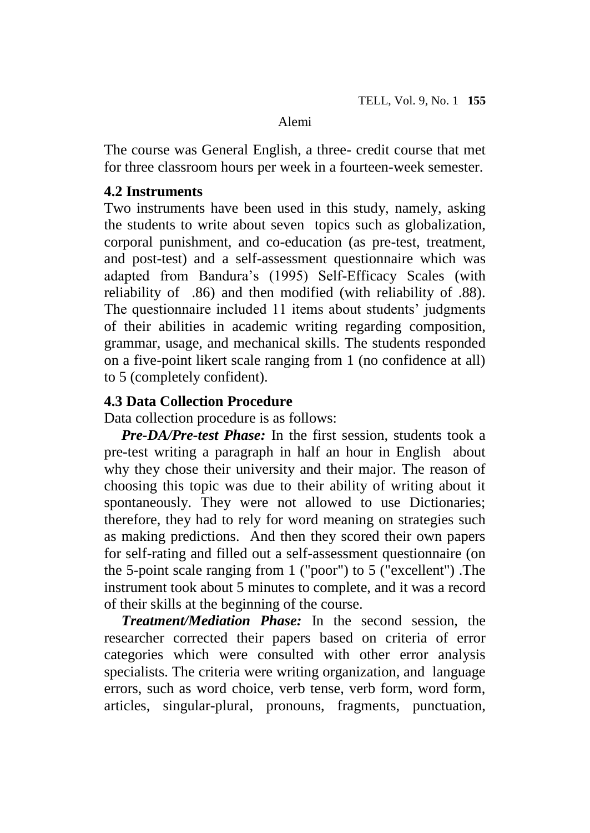The course was General English, a three- credit course that met for three classroom hours per week in a fourteen-week semester.

### **4.2 Instruments**

Two instruments have been used in this study, namely, asking the students to write about seven topics such as globalization, corporal punishment, and co-education (as pre-test, treatment, and post-test) and a self-assessment questionnaire which was adapted from Bandura's (1995) Self-Efficacy Scales (with reliability of .86) and then modified (with reliability of .88). The questionnaire included 11 items about students' judgments of their abilities in academic writing regarding composition, grammar, usage, and mechanical skills. The students responded on a five-point likert scale ranging from 1 (no confidence at all) to 5 (completely confident).

# **4.3 Data Collection Procedure**

Data collection procedure is as follows:

*Pre-DA/Pre-test Phase:* In the first session, students took a pre-test writing a paragraph in half an hour in English about why they chose their university and their major. The reason of choosing this topic was due to their ability of writing about it spontaneously. They were not allowed to use Dictionaries; therefore, they had to rely for word meaning on strategies such as making predictions. And then they scored their own papers for self-rating and filled out a self-assessment questionnaire (on the 5-point scale ranging from 1 ("poor") to 5 ("excellent") .The instrument took about 5 minutes to complete, and it was a record of their skills at the beginning of the course.

*Treatment/Mediation Phase:* In the second session, the researcher corrected their papers based on criteria of error categories which were consulted with other error analysis specialists. The criteria were writing organization, and language errors, such as word choice, verb tense, verb form, word form, articles, singular-plural, pronouns, fragments, punctuation,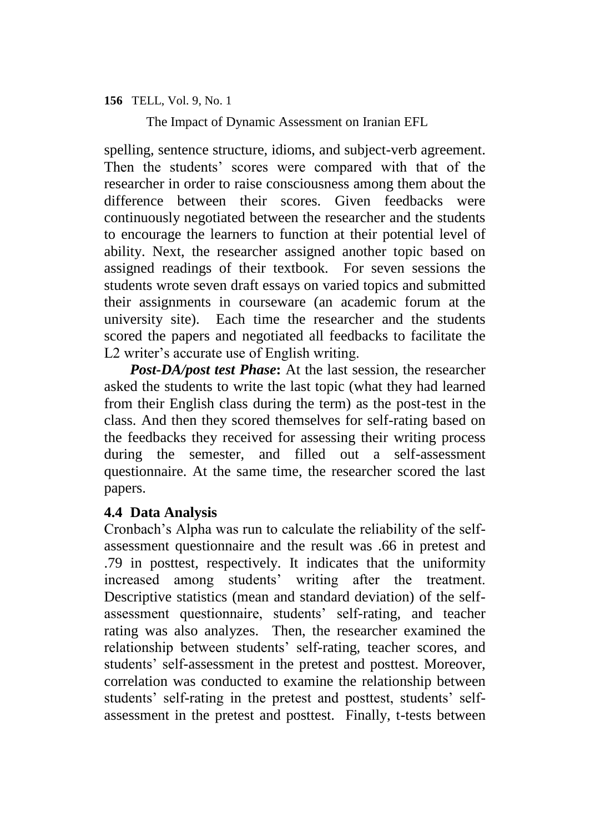The Impact of Dynamic Assessment on Iranian EFL

spelling, sentence structure, idioms, and subject-verb agreement. Then the students' scores were compared with that of the researcher in order to raise consciousness among them about the difference between their scores. Given feedbacks were continuously negotiated between the researcher and the students to encourage the learners to function at their potential level of ability. Next, the researcher assigned another topic based on assigned readings of their textbook. For seven sessions the students wrote seven draft essays on varied topics and submitted their assignments in courseware (an academic forum at the university site). Each time the researcher and the students scored the papers and negotiated all feedbacks to facilitate the L2 writer's accurate use of English writing.

*Post-DA/post test Phase***:** At the last session, the researcher asked the students to write the last topic (what they had learned from their English class during the term) as the post-test in the class. And then they scored themselves for self-rating based on the feedbacks they received for assessing their writing process during the semester, and filled out a self-assessment questionnaire. At the same time, the researcher scored the last papers.

# **4.4 Data Analysis**

Cronbach's Alpha was run to calculate the reliability of the selfassessment questionnaire and the result was .66 in pretest and .79 in posttest, respectively. It indicates that the uniformity increased among students' writing after the treatment. Descriptive statistics (mean and standard deviation) of the selfassessment questionnaire, students' self-rating, and teacher rating was also analyzes. Then, the researcher examined the relationship between students' self-rating, teacher scores, and students' self-assessment in the pretest and posttest. Moreover, correlation was conducted to examine the relationship between students' self-rating in the pretest and posttest, students' selfassessment in the pretest and posttest. Finally, t-tests between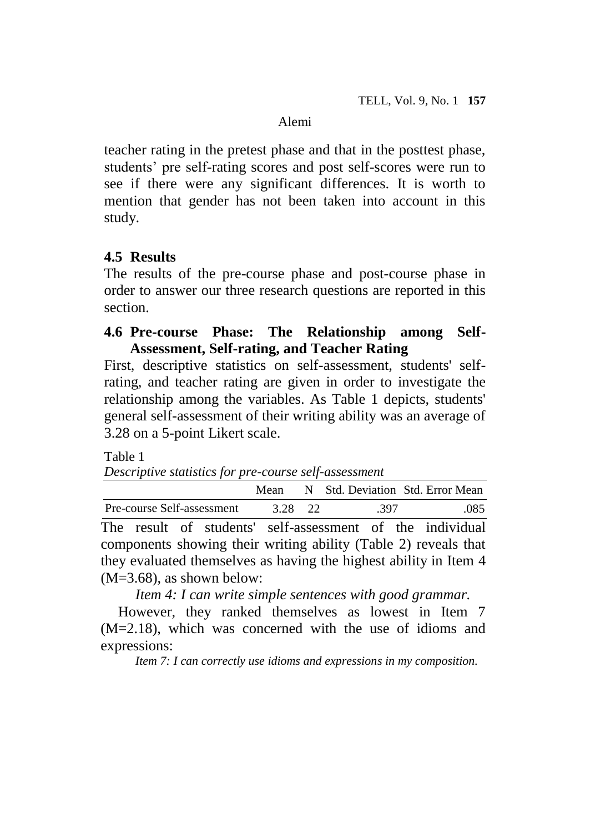teacher rating in the pretest phase and that in the posttest phase, students' pre self-rating scores and post self-scores were run to see if there were any significant differences. It is worth to mention that gender has not been taken into account in this study.

# **4.5 Results**

The results of the pre-course phase and post-course phase in order to answer our three research questions are reported in this section.

# **4.6 Pre-course Phase: The Relationship among Self-Assessment, Self-rating, and Teacher Rating**

First, descriptive statistics on self-assessment, students' selfrating, and teacher rating are given in order to investigate the relationship among the variables. As Table 1 depicts, students' general self-assessment of their writing ability was an average of 3.28 on a 5-point Likert scale.

Table 1

*Descriptive statistics for pre-course self-assessment*

|                                                                   |         |  |      | Mean N Std. Deviation Std. Error Mean |
|-------------------------------------------------------------------|---------|--|------|---------------------------------------|
| Pre-course Self-assessment                                        | 3.28 22 |  | .397 | .085                                  |
| The result of students' self-assessment of the individual         |         |  |      |                                       |
| components showing their writing ability (Table 2) reveals that   |         |  |      |                                       |
| they evaluated themselves as having the highest ability in Item 4 |         |  |      |                                       |
| $(M=3.68)$ , as shown below:                                      |         |  |      |                                       |

*Item 4: I can write simple sentences with good grammar.*

However, they ranked themselves as lowest in Item 7 (M=2.18), which was concerned with the use of idioms and expressions:

*Item 7: I can correctly use idioms and expressions in my composition.*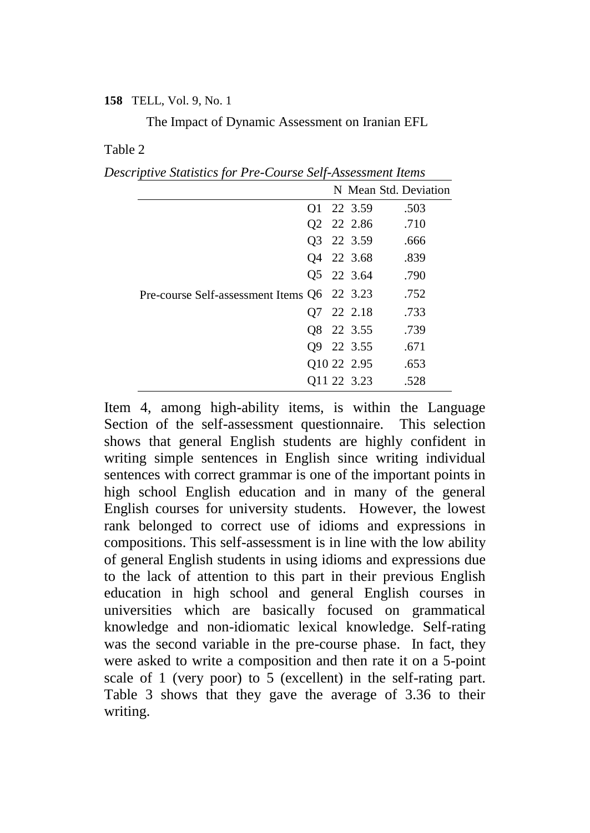The Impact of Dynamic Assessment on Iranian EFL

#### Table 2

*Descriptive Statistics for Pre-Course Self-Assessment Items*

|                                             |  |             | N Mean Std. Deviation |
|---------------------------------------------|--|-------------|-----------------------|
|                                             |  | 01 22 3.59  | .503                  |
|                                             |  | 02 22 2.86  | .710                  |
|                                             |  | Q3 22 3.59  | .666                  |
|                                             |  | 04 22 3.68  | .839                  |
|                                             |  | 05 22 3.64  | .790                  |
| Pre-course Self-assessment Items Q6 22 3.23 |  |             | .752                  |
|                                             |  | Q7 22 2.18  | .733                  |
|                                             |  | 08 22 3.55  | .739                  |
|                                             |  | 09 22 3.55  | .671                  |
|                                             |  | 010 22 2.95 | .653                  |
|                                             |  | Q11 22 3.23 | .528                  |

Item 4, among high-ability items, is within the Language Section of the self-assessment questionnaire. This selection shows that general English students are highly confident in writing simple sentences in English since writing individual sentences with correct grammar is one of the important points in high school English education and in many of the general English courses for university students. However, the lowest rank belonged to correct use of idioms and expressions in compositions. This self-assessment is in line with the low ability of general English students in using idioms and expressions due to the lack of attention to this part in their previous English education in high school and general English courses in universities which are basically focused on grammatical knowledge and non-idiomatic lexical knowledge. Self-rating was the second variable in the pre-course phase. In fact, they were asked to write a composition and then rate it on a 5-point scale of 1 (very poor) to 5 (excellent) in the self-rating part. Table 3 shows that they gave the average of 3.36 to their writing.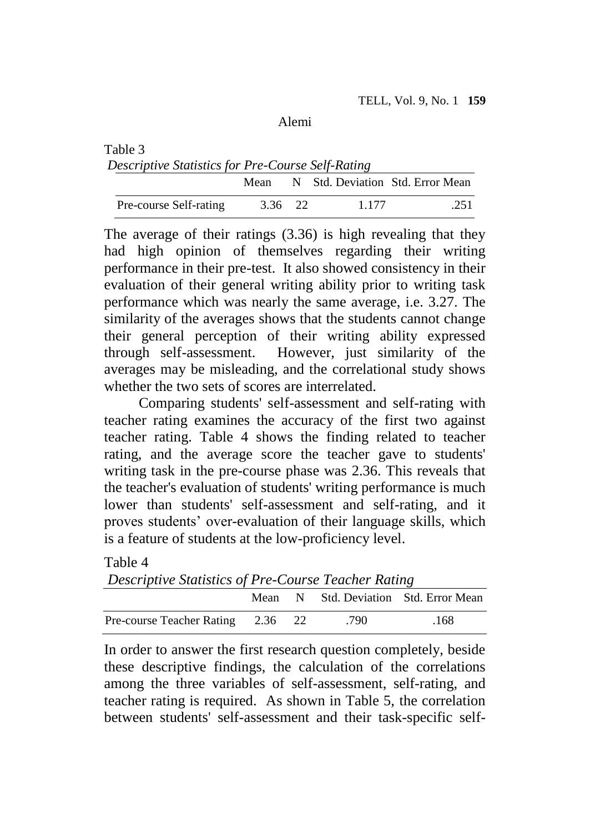| Table 3                                           |         |         |                                  |
|---------------------------------------------------|---------|---------|----------------------------------|
| Descriptive Statistics for Pre-Course Self-Rating |         |         |                                  |
|                                                   | Mean    |         | N Std. Deviation Std. Error Mean |
| Pre-course Self-rating                            | 3.36 22 | 1 1 7 7 | .251                             |

The average of their ratings (3.36) is high revealing that they had high opinion of themselves regarding their writing performance in their pre-test. It also showed consistency in their evaluation of their general writing ability prior to writing task performance which was nearly the same average, i.e. 3.27. The similarity of the averages shows that the students cannot change their general perception of their writing ability expressed through self-assessment. However, just similarity of the averages may be misleading, and the correlational study shows whether the two sets of scores are interrelated.

Comparing students' self-assessment and self-rating with teacher rating examines the accuracy of the first two against teacher rating. Table 4 shows the finding related to teacher rating, and the average score the teacher gave to students' writing task in the pre-course phase was 2.36. This reveals that the teacher's evaluation of students' writing performance is much lower than students' self-assessment and self-rating, and it proves students' over-evaluation of their language skills, which is a feature of students at the low-proficiency level.

#### Table 4

*Descriptive Statistics of Pre-Course Teacher Rating*

|                                   |  |      | Mean N Std. Deviation Std. Error Mean |
|-----------------------------------|--|------|---------------------------------------|
| Pre-course Teacher Rating 2.36 22 |  | .790 | .168                                  |

In order to answer the first research question completely, beside these descriptive findings, the calculation of the correlations among the three variables of self-assessment, self-rating, and teacher rating is required. As shown in Table 5, the correlation between students' self-assessment and their task-specific self-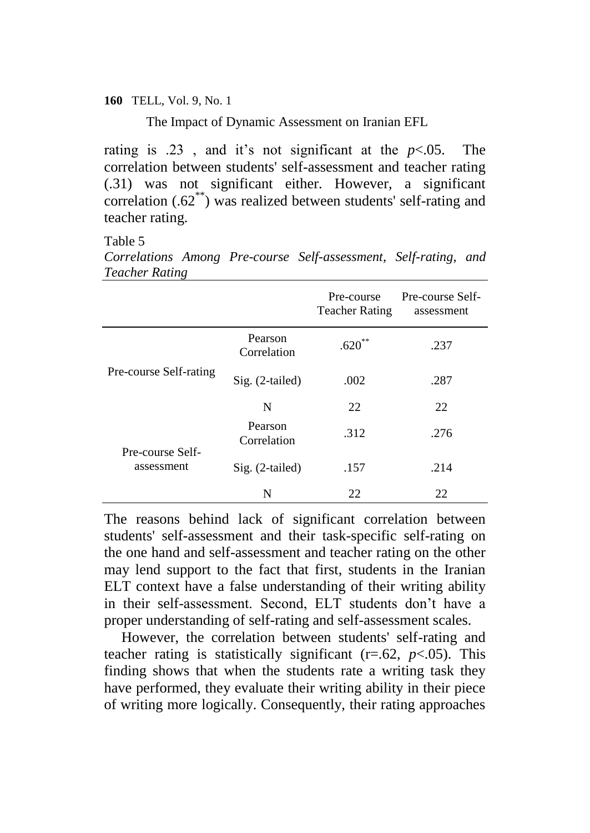The Impact of Dynamic Assessment on Iranian EFL

rating is .23, and it's not significant at the  $p<.05$ . The correlation between students' self-assessment and teacher rating (.31) was not significant either. However, a significant correlation (.62\*\*) was realized between students' self-rating and teacher rating.

Table 5

*Correlations Among Pre-course Self-assessment, Self-rating, and Teacher Rating*

|                                |                        | Pre-course<br><b>Teacher Rating</b> | Pre-course Self-<br>assessment |
|--------------------------------|------------------------|-------------------------------------|--------------------------------|
|                                | Pearson<br>Correlation | $.620**$                            | .237                           |
| Pre-course Self-rating         | Sig. (2-tailed)        | .002                                | .287                           |
|                                | N                      | 22                                  | 22                             |
| Pre-course Self-<br>assessment | Pearson<br>Correlation | .312                                | .276                           |
|                                | Sig. (2-tailed)        | .157                                | .214                           |
|                                | N                      | 22                                  | 22                             |

The reasons behind lack of significant correlation between students' self-assessment and their task-specific self-rating on the one hand and self-assessment and teacher rating on the other may lend support to the fact that first, students in the Iranian ELT context have a false understanding of their writing ability in their self-assessment. Second, ELT students don't have a proper understanding of self-rating and self-assessment scales.

However, the correlation between students' self-rating and teacher rating is statistically significant  $(r=.62, p<.05)$ . This finding shows that when the students rate a writing task they have performed, they evaluate their writing ability in their piece of writing more logically. Consequently, their rating approaches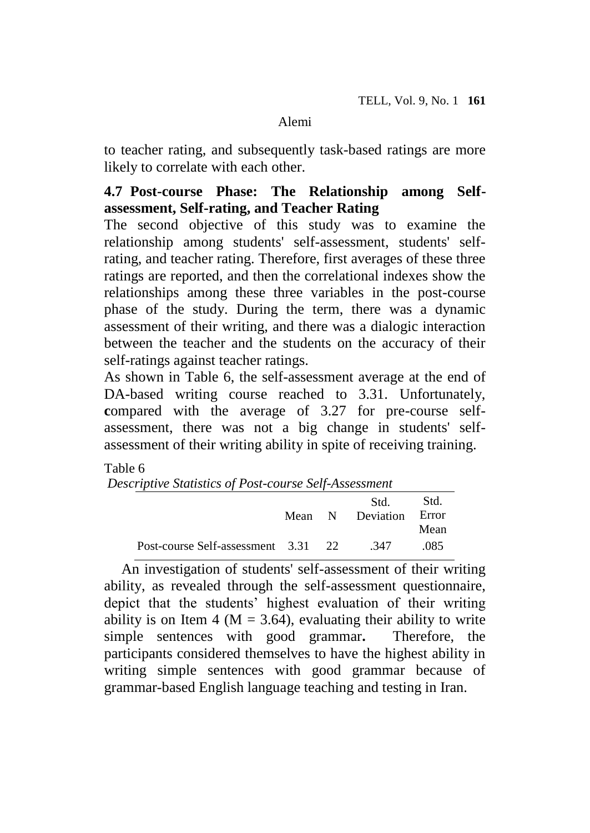to teacher rating, and subsequently task-based ratings are more likely to correlate with each other.

# **4.7 Post-course Phase: The Relationship among Selfassessment, Self-rating, and Teacher Rating**

The second objective of this study was to examine the relationship among students' self-assessment, students' selfrating, and teacher rating. Therefore, first averages of these three ratings are reported, and then the correlational indexes show the relationships among these three variables in the post-course phase of the study. During the term, there was a dynamic assessment of their writing, and there was a dialogic interaction between the teacher and the students on the accuracy of their self-ratings against teacher ratings.

As shown in Table 6, the self-assessment average at the end of DA-based writing course reached to 3.31. Unfortunately, **c**ompared with the average of 3.27 for pre-course selfassessment, there was not a big change in students' selfassessment of their writing ability in spite of receiving training.

### Table 6

*Descriptive Statistics of Post-course Self-Assessment*

|                                     |  | Std.<br>Mean N Deviation Error | -Std.<br>Mean |
|-------------------------------------|--|--------------------------------|---------------|
| Post-course Self-assessment 3.31 22 |  | - 347                          | .085          |

An investigation of students' self-assessment of their writing ability, as revealed through the self-assessment questionnaire, depict that the students' highest evaluation of their writing ability is on Item 4 ( $M = 3.64$ ), evaluating their ability to write simple sentences with good grammar**.** Therefore, the participants considered themselves to have the highest ability in writing simple sentences with good grammar because of grammar-based English language teaching and testing in Iran.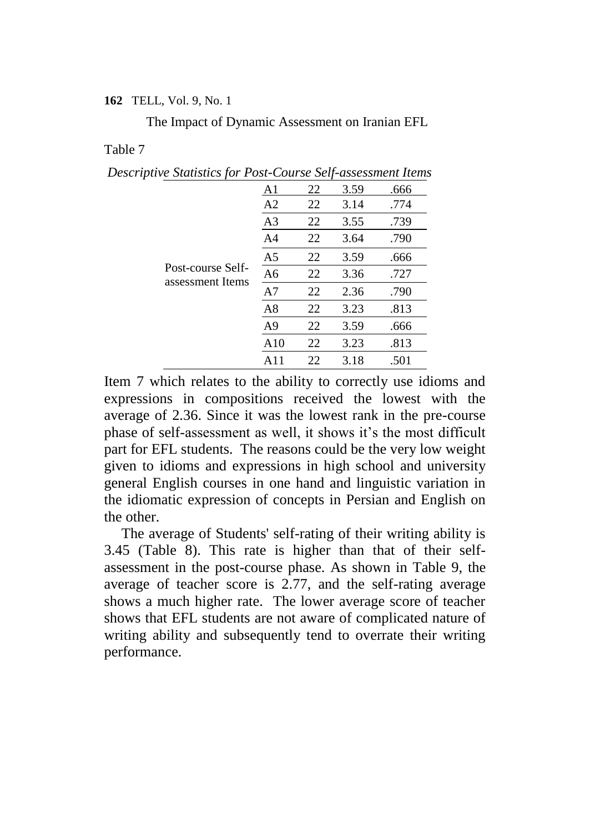The Impact of Dynamic Assessment on Iranian EFL

#### Table 7

*Descriptive Statistics for Post-Course Self-assessment Items*

|                                       | A1             | 22 | 3.59 | .666 |
|---------------------------------------|----------------|----|------|------|
| Post-course Self-<br>assessment Items | A2             | 22 | 3.14 | .774 |
|                                       | A3             | 22 | 3.55 | .739 |
|                                       | A4             | 22 | 3.64 | .790 |
|                                       | A5             | 22 | 3.59 | .666 |
|                                       | A <sub>6</sub> | 22 | 3.36 | .727 |
|                                       | A7             | 22 | 2.36 | .790 |
|                                       | A8             | 22 | 3.23 | .813 |
|                                       | A <sub>9</sub> | 22 | 3.59 | .666 |
|                                       | A10            | 22 | 3.23 | .813 |
|                                       | A              | 22 | 3.18 | .501 |

Item 7 which relates to the ability to correctly use idioms and expressions in compositions received the lowest with the average of 2.36. Since it was the lowest rank in the pre-course phase of self-assessment as well, it shows it's the most difficult part for EFL students. The reasons could be the very low weight given to idioms and expressions in high school and university general English courses in one hand and linguistic variation in the idiomatic expression of concepts in Persian and English on the other.

The average of Students' self-rating of their writing ability is 3.45 (Table 8). This rate is higher than that of their selfassessment in the post-course phase. As shown in Table 9, the average of teacher score is 2.77, and the self-rating average shows a much higher rate. The lower average score of teacher shows that EFL students are not aware of complicated nature of writing ability and subsequently tend to overrate their writing performance.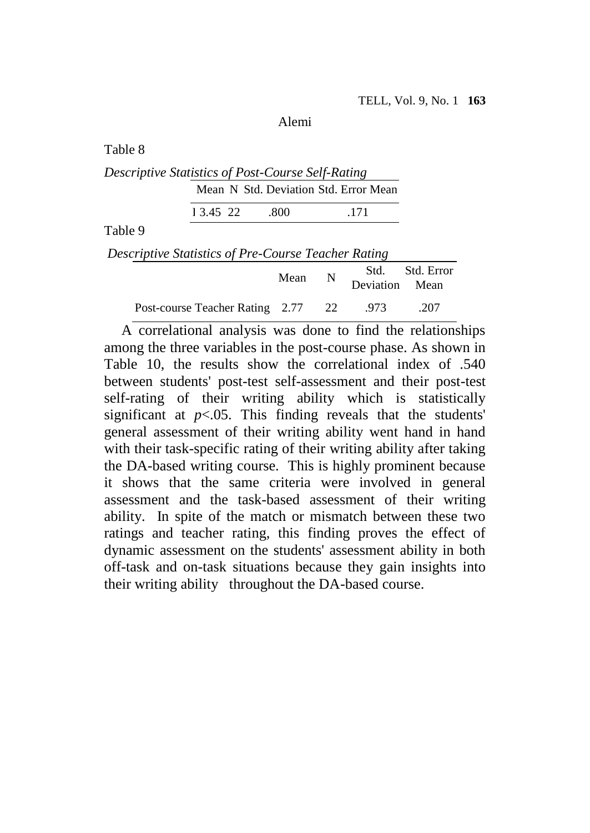Table 8

*Descriptive Statistics of Post-Course Self-Rating* Mean N Std. Deviation Std. Error Mean

1 3.45 22 .800 .171

Table 9

*Descriptive Statistics of Pre-Course Teacher Rating*

|                                         | Mean N | Deviation Mean | Std. Std. Error |
|-----------------------------------------|--------|----------------|-----------------|
| Post-course Teacher Rating 2.77 22 .973 |        |                | .207            |

A correlational analysis was done to find the relationships among the three variables in the post-course phase. As shown in Table 10, the results show the correlational index of .540 between students' post-test self-assessment and their post-test self-rating of their writing ability which is statistically significant at  $p<.05$ . This finding reveals that the students' general assessment of their writing ability went hand in hand with their task-specific rating of their writing ability after taking the DA-based writing course. This is highly prominent because it shows that the same criteria were involved in general assessment and the task-based assessment of their writing ability. In spite of the match or mismatch between these two ratings and teacher rating, this finding proves the effect of dynamic assessment on the students' assessment ability in both off-task and on-task situations because they gain insights into their writing ability throughout the DA-based course.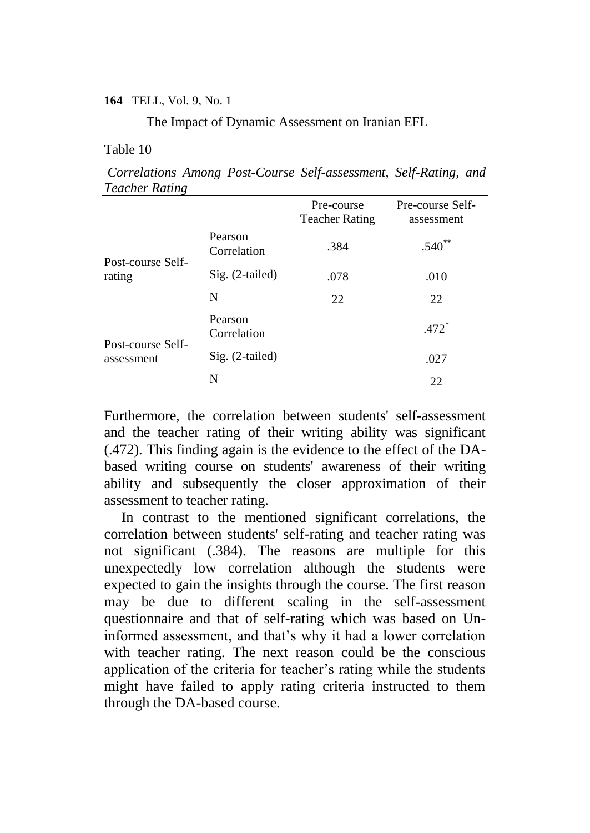The Impact of Dynamic Assessment on Iranian EFL

#### Table 10

*Correlations Among Post-Course Self-assessment, Self-Rating, and Teacher Rating*

|                                             |                        | Pre-course<br><b>Teacher Rating</b> | Pre-course Self-<br>assessment |
|---------------------------------------------|------------------------|-------------------------------------|--------------------------------|
| Pearson<br>Post-course Self-<br>rating<br>N | Correlation            | .384                                | $.540**$                       |
|                                             | Sig. (2-tailed)        | .078                                | .010                           |
|                                             |                        | 22                                  | 22                             |
| Post-course Self-                           | Pearson<br>Correlation |                                     | $.472*$                        |
| assessment                                  | Sig. (2-tailed)        |                                     | .027                           |
|                                             | N                      |                                     | 22                             |

Furthermore, the correlation between students' self-assessment and the teacher rating of their writing ability was significant (.472). This finding again is the evidence to the effect of the DAbased writing course on students' awareness of their writing ability and subsequently the closer approximation of their assessment to teacher rating.

In contrast to the mentioned significant correlations, the correlation between students' self-rating and teacher rating was not significant (.384). The reasons are multiple for this unexpectedly low correlation although the students were expected to gain the insights through the course. The first reason may be due to different scaling in the self-assessment questionnaire and that of self-rating which was based on Uninformed assessment, and that's why it had a lower correlation with teacher rating. The next reason could be the conscious application of the criteria for teacher's rating while the students might have failed to apply rating criteria instructed to them through the DA-based course.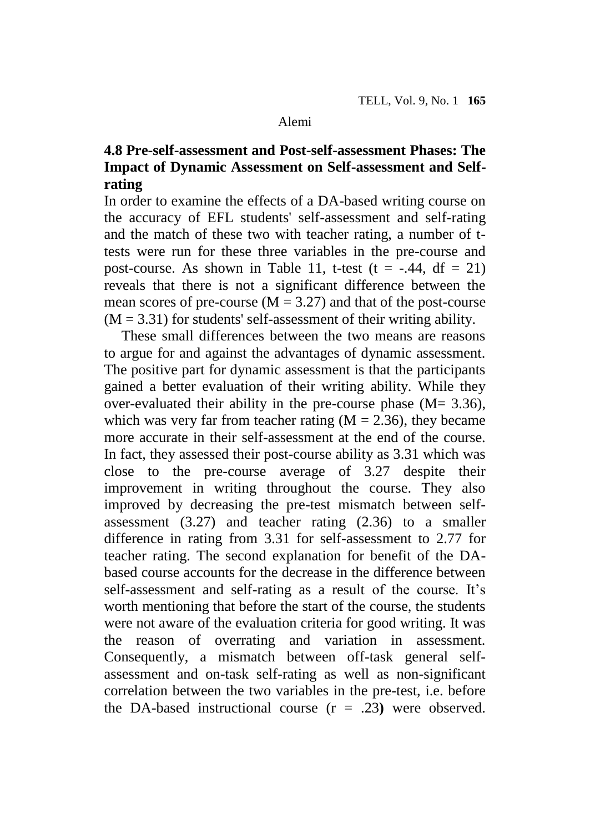# **4.8 Pre-self-assessment and Post-self-assessment Phases: The Impact of Dynamic Assessment on Self-assessment and Selfrating**

In order to examine the effects of a DA-based writing course on the accuracy of EFL students' self-assessment and self-rating and the match of these two with teacher rating, a number of ttests were run for these three variables in the pre-course and post-course. As shown in Table 11, t-test  $(t = -.44, df = 21)$ reveals that there is not a significant difference between the mean scores of pre-course  $(M = 3.27)$  and that of the post-course  $(M = 3.31)$  for students' self-assessment of their writing ability.

These small differences between the two means are reasons to argue for and against the advantages of dynamic assessment. The positive part for dynamic assessment is that the participants gained a better evaluation of their writing ability. While they over-evaluated their ability in the pre-course phase  $(M= 3.36)$ , which was very far from teacher rating  $(M = 2.36)$ , they became more accurate in their self-assessment at the end of the course. In fact, they assessed their post-course ability as 3.31 which was close to the pre-course average of 3.27 despite their improvement in writing throughout the course. They also improved by decreasing the pre-test mismatch between selfassessment (3.27) and teacher rating (2.36) to a smaller difference in rating from 3.31 for self-assessment to 2.77 for teacher rating. The second explanation for benefit of the DAbased course accounts for the decrease in the difference between self-assessment and self-rating as a result of the course. It's worth mentioning that before the start of the course, the students were not aware of the evaluation criteria for good writing. It was the reason of overrating and variation in assessment. Consequently, a mismatch between off-task general selfassessment and on-task self-rating as well as non-significant correlation between the two variables in the pre-test, i.e. before the DA-based instructional course (r = .23**)** were observed.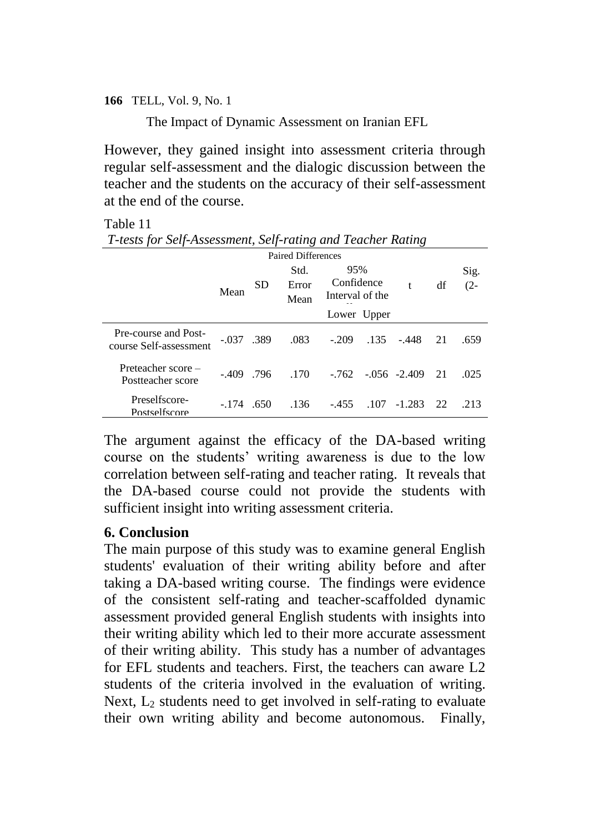The Impact of Dynamic Assessment on Iranian EFL

However, they gained insight into assessment criteria through regular self-assessment and the dialogic discussion between the teacher and the students on the accuracy of their self-assessment at the end of the course.

#### Table 11

| T-tests for Self-Assessment, Self-rating and Teacher Rating |
|-------------------------------------------------------------|
| Doited Differences                                          |

|                                                | Mean         | <b>SD</b> | таней глибіспер<br>Std.<br>Error<br>Mean | 95%<br>Confidence<br>Interval of the<br>Lower Upper |      | t                         | df | Sig.<br>$(2 -$ |
|------------------------------------------------|--------------|-----------|------------------------------------------|-----------------------------------------------------|------|---------------------------|----|----------------|
| Pre-course and Post-<br>course Self-assessment | $-.037$ .389 |           | .083                                     | $-.209$                                             | .135 | $-.448$                   | 21 | .659           |
| Preteacher score -<br>Postteacher score        | $-.409$      | .796      | .170                                     |                                                     |      | $-.762$ $-.056$ $-.2.409$ | 21 | .025           |
| Preselfscore-<br>Postselfscore                 | $-174$       | .650      | .136                                     | $-455$                                              | .107 | $-1.283$                  | 22 | .213           |

The argument against the efficacy of the DA-based writing course on the students' writing awareness is due to the low correlation between self-rating and teacher rating. It reveals that the DA-based course could not provide the students with sufficient insight into writing assessment criteria.

### **6. Conclusion**

The main purpose of this study was to examine general English students' evaluation of their writing ability before and after taking a DA-based writing course. The findings were evidence of the consistent self-rating and teacher-scaffolded dynamic assessment provided general English students with insights into their writing ability which led to their more accurate assessment of their writing ability. This study has a number of advantages for EFL students and teachers. First, the teachers can aware L2 students of the criteria involved in the evaluation of writing. Next,  $L_2$  students need to get involved in self-rating to evaluate their own writing ability and become autonomous. Finally,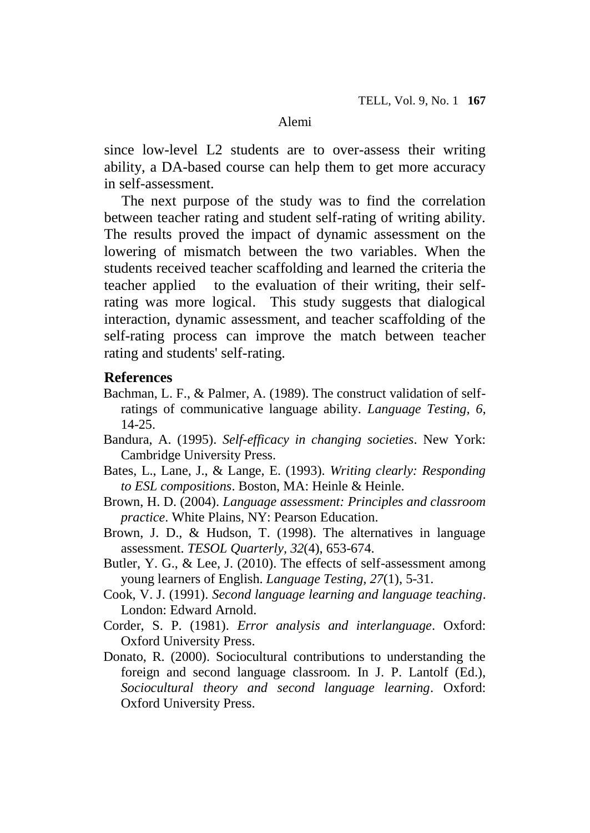since low-level L2 students are to over-assess their writing ability, a DA-based course can help them to get more accuracy in self-assessment.

The next purpose of the study was to find the correlation between teacher rating and student self-rating of writing ability. The results proved the impact of dynamic assessment on the lowering of mismatch between the two variables. When the students received teacher scaffolding and learned the criteria the teacher applied to the evaluation of their writing, their selfrating was more logical. This study suggests that dialogical interaction, dynamic assessment, and teacher scaffolding of the self-rating process can improve the match between teacher rating and students' self-rating.

#### **References**

- Bachman, L. F., & Palmer, A. (1989). The construct validation of selfratings of communicative language ability. *Language Testing, 6*, 14-25.
- Bandura, A. (1995). *Self-efficacy in changing societies*. New York: Cambridge University Press.
- Bates, L., Lane, J., & Lange, E. (1993). *Writing clearly: Responding to ESL compositions*. Boston, MA: Heinle & Heinle.
- Brown, H. D. (2004). *Language assessment: Principles and classroom practice*. White Plains, NY: Pearson Education.
- Brown, J. D., & Hudson, T. (1998). The alternatives in language assessment. *TESOL Quarterly, 32*(4), 653-674.
- Butler, Y. G., & Lee, J. (2010). The effects of self-assessment among young learners of English. *Language Testing, 27*(1), 5-31.
- Cook, V. J. (1991). *Second language learning and language teaching*. London: Edward Arnold.
- Corder, S. P. (1981). *Error analysis and interlanguage*. Oxford: Oxford University Press.
- Donato, R. (2000). Sociocultural contributions to understanding the foreign and second language classroom. In J. P. Lantolf (Ed.), *Sociocultural theory and second language learning*. Oxford: Oxford University Press.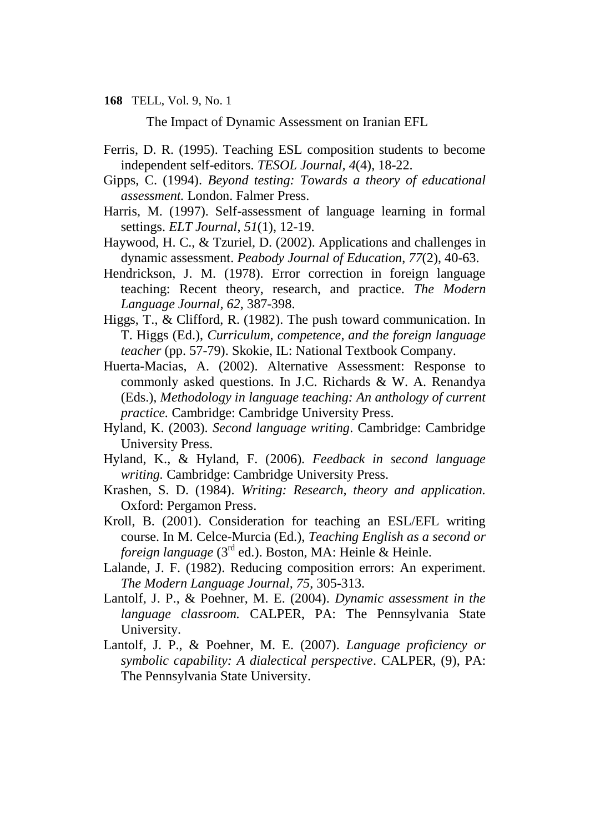The Impact of Dynamic Assessment on Iranian EFL

- Ferris, D. R. (1995). Teaching ESL composition students to become independent self-editors. *TESOL Journal, 4*(4), 18-22.
- Gipps, C. (1994). *Beyond testing: Towards a theory of educational assessment.* London. Falmer Press.
- Harris, M. (1997). Self-assessment of language learning in formal settings. *ELT Journal*, *51*(1), 12-19.
- Haywood, H. C., & Tzuriel, D. (2002). Applications and challenges in dynamic assessment. *Peabody Journal of Education*, *77*(2), 40-63.
- Hendrickson, J. M. (1978). Error correction in foreign language teaching: Recent theory, research, and practice. *The Modern Language Journal, 62*, 387-398.
- Higgs, T., & Clifford, R. (1982). The push toward communication. In T. Higgs (Ed.), *Curriculum, competence, and the foreign language teacher* (pp. 57-79). Skokie, IL: National Textbook Company.
- Huerta-Macias, A. (2002). Alternative Assessment: Response to commonly asked questions. In J.C. Richards & W. A. Renandya (Eds.), *Methodology in language teaching: An anthology of current practice.* Cambridge: Cambridge University Press.
- Hyland, K. (2003). *Second language writing*. Cambridge: Cambridge University Press.
- Hyland, K., & Hyland, F. (2006). *Feedback in second language writing.* Cambridge: Cambridge University Press.
- Krashen, S. D. (1984). *Writing: Research, theory and application.* Oxford: Pergamon Press.
- Kroll, B. (2001). Consideration for teaching an ESL/EFL writing course. In M. Celce-Murcia (Ed.), *Teaching English as a second or foreign language* (3<sup>rd</sup> ed.). Boston, MA: Heinle & Heinle.
- Lalande, J. F. (1982). Reducing composition errors: An experiment. *The Modern Language Journal, 75*, 305-313.
- Lantolf, J. P., & Poehner, M. E. (2004). *Dynamic assessment in the language classroom.* CALPER, PA: The Pennsylvania State University.
- Lantolf, J. P., & Poehner, M. E. (2007). *Language proficiency or symbolic capability: A dialectical perspective*. CALPER, (9), PA: The Pennsylvania State University.